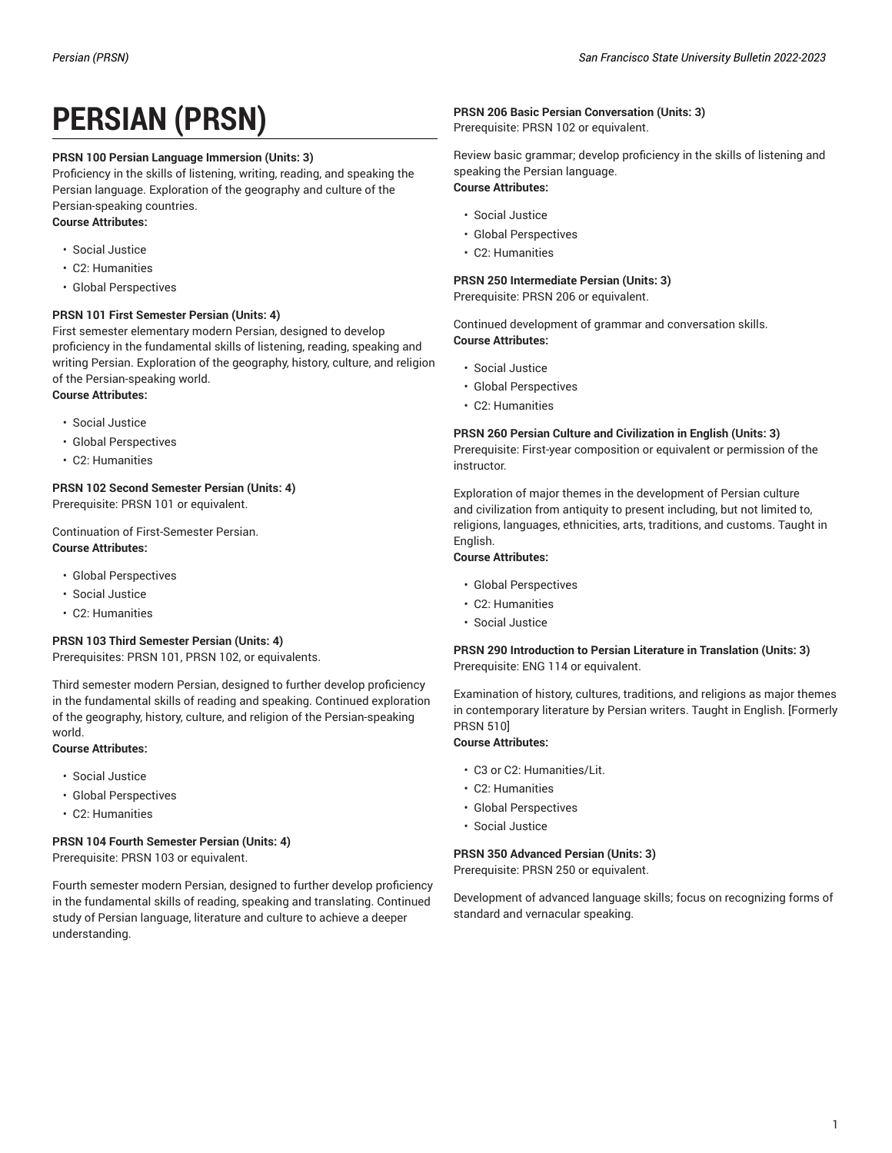# **PERSIAN (PRSN)**

# **PRSN 100 Persian Language Immersion (Units: 3)**

Proficiency in the skills of listening, writing, reading, and speaking the Persian language. Exploration of the geography and culture of the Persian-speaking countries.

# **Course Attributes:**

- Social Justice
- C2: Humanities
- Global Perspectives

# **PRSN 101 First Semester Persian (Units: 4)**

First semester elementary modern Persian, designed to develop proficiency in the fundamental skills of listening, reading, speaking and writing Persian. Exploration of the geography, history, culture, and religion of the Persian-speaking world. **Course Attributes:**

- Social Justice
- Global Perspectives
- C2: Humanities

# **PRSN 102 Second Semester Persian (Units: 4)**

Prerequisite: PRSN 101 or equivalent.

# Continuation of First-Semester Persian. **Course Attributes:**

- Global Perspectives
- Social Justice
- C2: Humanities

# **PRSN 103 Third Semester Persian (Units: 4)**

Prerequisites: PRSN 101, PRSN 102, or equivalents.

Third semester modern Persian, designed to further develop proficiency in the fundamental skills of reading and speaking. Continued exploration of the geography, history, culture, and religion of the Persian-speaking world.

#### **Course Attributes:**

- Social Justice
- Global Perspectives
- C2: Humanities

# **PRSN 104 Fourth Semester Persian (Units: 4)**

Prerequisite: PRSN 103 or equivalent.

Fourth semester modern Persian, designed to further develop proficiency in the fundamental skills of reading, speaking and translating. Continued study of Persian language, literature and culture to achieve a deeper understanding.

# **PRSN 206 Basic Persian Conversation (Units: 3)**

Prerequisite: PRSN 102 or equivalent.

Review basic grammar; develop proficiency in the skills of listening and speaking the Persian language. **Course Attributes:**

- Social Justice
- Global Perspectives
- C2: Humanities

# **PRSN 250 Intermediate Persian (Units: 3)**

Prerequisite: PRSN 206 or equivalent.

Continued development of grammar and conversation skills. **Course Attributes:**

- Social Justice
- Global Perspectives
- C2: Humanities

#### **PRSN 260 Persian Culture and Civilization in English (Units: 3)**

Prerequisite: First-year composition or equivalent or permission of the instructor.

Exploration of major themes in the development of Persian culture and civilization from antiquity to present including, but not limited to, religions, languages, ethnicities, arts, traditions, and customs. Taught in English.

# **Course Attributes:**

- Global Perspectives
- C2: Humanities
- Social Justice

#### **PRSN 290 Introduction to Persian Literature in Translation (Units: 3)** Prerequisite: ENG 114 or equivalent.

Examination of history, cultures, traditions, and religions as major themes in contemporary literature by Persian writers. Taught in English. [Formerly PRSN 510]

#### **Course Attributes:**

- C3 or C2: Humanities/Lit.
- C2: Humanities
- Global Perspectives
- Social Justice

# **PRSN 350 Advanced Persian (Units: 3)**

Prerequisite: PRSN 250 or equivalent.

Development of advanced language skills; focus on recognizing forms of standard and vernacular speaking.